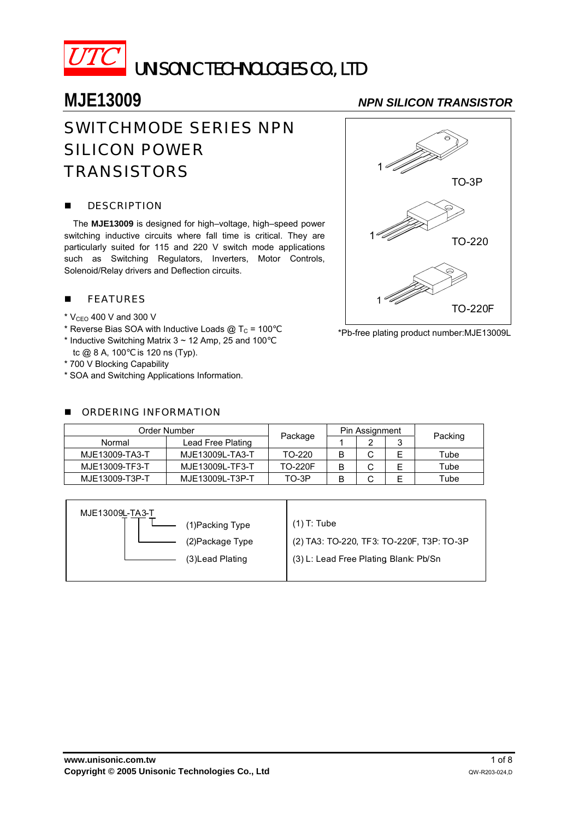

# UNISONIC TECHNOLOGIES CO., LTD

# SWITCHMODE SERIES NPN SILICON POWER **TRANSISTORS**

### **DESCRIPTION**

The **MJE13009** is designed for high–voltage, high–speed power switching inductive circuits where fall time is critical. They are particularly suited for 115 and 220 V switch mode applications such as Switching Regulators, Inverters, Motor Controls, Solenoid/Relay drivers and Deflection circuits.

### **FEATURES**

- $*$  V<sub>CEO</sub> 400 V and 300 V
- \* Reverse Bias SOA with Inductive Loads  $\textcircled{a}$  T<sub>C</sub> = 100
- $*$  Inductive Switching Matrix 3  $\sim$  12 Amp, 25 and 100 tc @ 8 A, 100 is 120 ns (Typ).
- \* 700 V Blocking Capability
- \* SOA and Switching Applications Information.

### **E** ORDERING INFORMATION

## **MJE13009** *NPN SILICON TRANSISTOR*



\*Pb-free plating product number:MJE13009L

| Order Number   |                   |                | Pin Assignment |   |   |         |  |
|----------------|-------------------|----------------|----------------|---|---|---------|--|
| Normal         | Lead Free Plating | Package        |                | ົ | ິ | Packing |  |
| MJE13009-TA3-T | MJE13009L-TA3-T   | TO-220         |                |   |   | Tube    |  |
| MJE13009-TF3-T | MJE13009L-TF3-T   | <b>TO-220F</b> |                |   |   | Tube    |  |
| MJE13009-T3P-T | MJE13009L-T3P-T   | TO-3P          |                |   |   | Tube    |  |

| MJE13009L-TA3-T  |                                           |
|------------------|-------------------------------------------|
| (1) Packing Type | $(1)$ T: Tube                             |
| (2) Package Type | (2) TA3: TO-220, TF3: TO-220F, T3P: TO-3P |
| (3) Lead Plating | (3) L: Lead Free Plating Blank: Pb/Sn     |
|                  |                                           |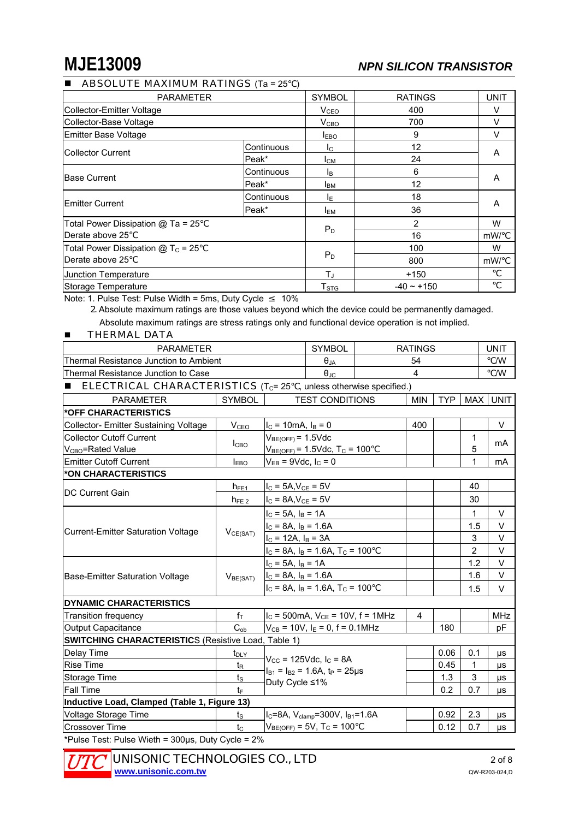# **MJE13009** *NPN SILICON TRANSISTOR*

### **ABSOLUTE MAXIMUM RATINGS**  $(Ta = 25)$

| <b>PARAMETER</b>                    | <b>SYMBOL</b>    | <b>RATINGS</b>         | <b>UNIT</b> |   |
|-------------------------------------|------------------|------------------------|-------------|---|
| Collector-Emitter Voltage           | V <sub>CEO</sub> | 400                    | v           |   |
| Collector-Base Voltage              | V <sub>CBO</sub> | 700                    | $\vee$      |   |
| Emitter Base Voltage                | <b>IEBO</b>      | 9                      | V           |   |
|                                     | Continuous       | Ic.                    | 12          |   |
| <b>ICollector Current</b>           | Peak*            | Iсм                    | 24          | A |
| <b>Base Current</b>                 | Continuous       | Iв                     | 6           |   |
|                                     | Peak*            | <b>I</b> BM            | 12          | A |
|                                     | Continuous       | IΕ                     | 18          |   |
| lEmitter Current                    | Peak*            | <b>I</b> <sub>EM</sub> | 36          | A |
| Total Power Dissipation @ Ta = 25   |                  | 2                      | W           |   |
| Derate above 25                     | $P_D$            | 16                     | mW/         |   |
| Total Power Dissipation $@T_c = 25$ |                  | 100                    | W           |   |
| Derate above 25                     | $P_D$            | 800                    | mW/         |   |
| Junction Temperature                | T.               | $+150$                 |             |   |
| Storage Temperature                 | T <sub>STG</sub> | $-40 \sim +150$        |             |   |

Note: 1. Pulse Test: Pulse Width = 5ms, Duty Cycle 10%

 2. Absolute maximum ratings are those values beyond which the device could be permanently damaged. Absolute maximum ratings are stress ratings only and functional device operation is not implied.

### **THERMAL DATA**

| <b>PARAMETER</b>                           | <b>SYMBOL</b> | <b>RATINGS</b> | UNIT          |
|--------------------------------------------|---------------|----------------|---------------|
| Thermal Resistance Junction to Ambient     | UJA           | 54             | /W            |
| <b>Thermal Resistance Junction to Case</b> | θιс           |                | $\mathcal{N}$ |
|                                            |               |                |               |

### **ELECTRICAL CHARACTERISTICS** ( $T_C$ = 25 , unless otherwise specified.)

| <b>PARAMETER</b>                                           | <b>SYMBOL</b>        | <b>TEST CONDITIONS</b>                                                              | <b>MIN</b>     | TYP  |             | MAX UNIT   |  |  |  |
|------------------------------------------------------------|----------------------|-------------------------------------------------------------------------------------|----------------|------|-------------|------------|--|--|--|
| *OFF CHARACTERISTICS                                       |                      |                                                                                     |                |      |             |            |  |  |  |
| <b>Collector- Emitter Sustaining Voltage</b>               | V <sub>CEO</sub>     | $I_C = 10 \text{mA}, I_B = 0$                                                       | 400            |      |             | $\vee$     |  |  |  |
| <b>Collector Cutoff Current</b>                            | I <sub>CBO</sub>     | $V_{BE(OFF)} = 1.5$ Vdc                                                             |                |      | 1           | mA         |  |  |  |
| V <sub>CBO</sub> =Rated Value                              |                      | $V_{BE(OFF)} = 1.5$ Vdc, T <sub>C</sub> = 100                                       |                |      | 5           |            |  |  |  |
| <b>Emitter Cutoff Current</b>                              | $I_{EBO}$            | $V_{EB}$ = 9Vdc, $I_C$ = 0                                                          |                |      | 1           | mA         |  |  |  |
| *ON CHARACTERISTICS                                        |                      |                                                                                     |                |      |             |            |  |  |  |
|                                                            | $h_{FE1}$            | $I_C = 5A, V_{CE} = 5V$                                                             |                |      | 40          |            |  |  |  |
| <b>DC Current Gain</b>                                     | $h_{FE2}$            | $IC$ = 8A, $VCE$ = 5V                                                               |                |      | 30          |            |  |  |  |
|                                                            |                      | $I_C = 5A$ , $I_B = 1A$                                                             |                |      | 1           | V          |  |  |  |
|                                                            |                      | $I_C = 8A$ , $I_B = 1.6A$                                                           |                |      | 1.5         | V          |  |  |  |
| <b>Current-Emitter Saturation Voltage</b>                  | VCE(SAT)             | $I_C = 12A$ , $I_B = 3A$                                                            |                |      | 3           | $\vee$     |  |  |  |
|                                                            |                      | $I_C = 8A$ , $I_B = 1.6A$ , $T_C = 100$                                             |                |      | 2           | V          |  |  |  |
|                                                            | V <sub>BE(SAT)</sub> | $I_c = 5A$ , $I_B = 1A$                                                             |                |      | 1.2         | V          |  |  |  |
| Base-Emitter Saturation Voltage                            |                      | $I_C = 8A$ , $I_B = 1.6A$                                                           |                |      | 1.6         | $\vee$     |  |  |  |
|                                                            |                      | $I_C = 8A$ , $I_B = 1.6A$ , $T_C = 100$                                             |                |      | 1.5         | $\vee$     |  |  |  |
| DYNAMIC CHARACTERISTICS                                    |                      |                                                                                     |                |      |             |            |  |  |  |
| <b>Transition frequency</b>                                | $f_{\top}$           | $I_C = 500$ mA, $V_{CE} = 10V$ , $f = 1$ MHz                                        | $\overline{4}$ |      |             | <b>MHz</b> |  |  |  |
| Output Capacitance                                         | $C_{ob}$             | $V_{CB}$ = 10V, $I_E$ = 0, f = 0.1MHz                                               |                | 180  |             | pF         |  |  |  |
| <b>SWITCHING CHARACTERISTICS (Resistive Load, Table 1)</b> |                      |                                                                                     |                |      |             |            |  |  |  |
| Delay Time                                                 | $t_{\text{DLY}}$     |                                                                                     |                | 0.06 | 0.1         | μs         |  |  |  |
| <b>Rise Time</b>                                           | $t_{\mathsf{R}}$     | $V_{CC}$ = 125Vdc, $I_C$ = 8A<br>$I_{B1} = I_{B2} = 1.6$ A, t <sub>P</sub> = 25 µ s |                | 0.45 | 1           | μs         |  |  |  |
| Storage Time                                               | $t_{\rm S}$          |                                                                                     |                | 1.3  | $\mathsf 3$ | μs         |  |  |  |
| <b>Fall Time</b>                                           | tF                   | Duty Cycle ≤1%                                                                      |                | 0.2  | 0.7         | μs         |  |  |  |
| Inductive Load, Clamped (Table 1, Figure 13)               |                      |                                                                                     |                |      |             |            |  |  |  |
| Voltage Storage Time                                       | $t_{\rm S}$          | $I_C = 8A$ , $V_{clamp} = 300V$ , $I_{B1} = 1.6A$                                   |                | 0.92 | 2.3         | μs         |  |  |  |
| <b>Crossover Time</b>                                      | $t_{\rm C}$          | $V_{BE(OFF)} = 5V$ , T <sub>C</sub> = 100                                           |                | 0.12 | 0.7         | μs         |  |  |  |
| *Pulse Test: Pulse Wieth = 300µs, Duty Cycle = 2%          |                      |                                                                                     |                |      |             |            |  |  |  |

UNISONIC TECHNOLOGIES CO., LTD 2 of 8 **www.unisonic.com.tw** QW-R203-024,D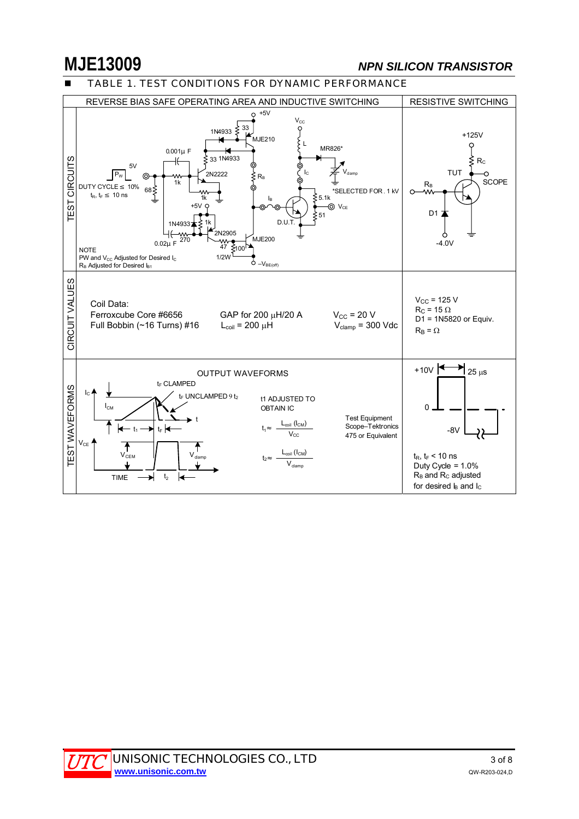# **MJE13009** *NPN SILICON TRANSISTOR*

### TABLE 1. TEST CONDITIONS FOR DYNAMIC PERFORMANCE



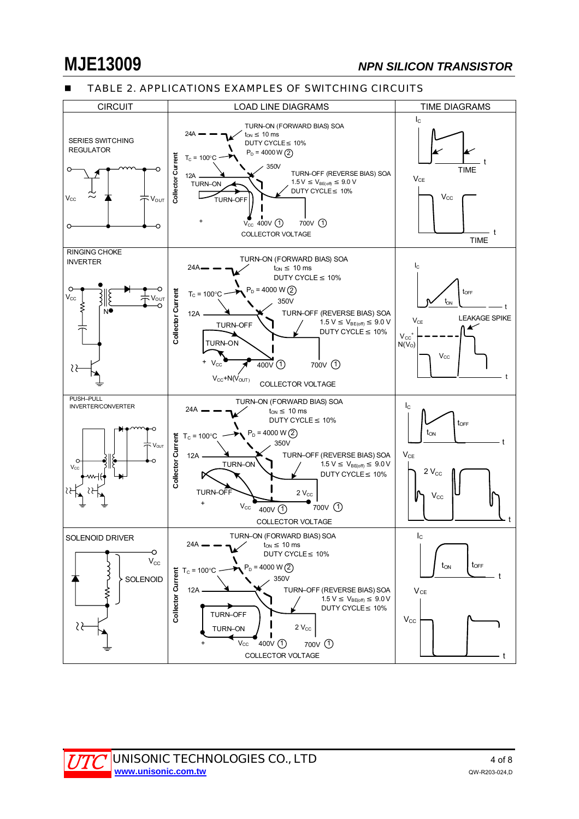### TABLE 2. APPLICATIONS EXAMPLES OF SWITCHING CIRCUITS

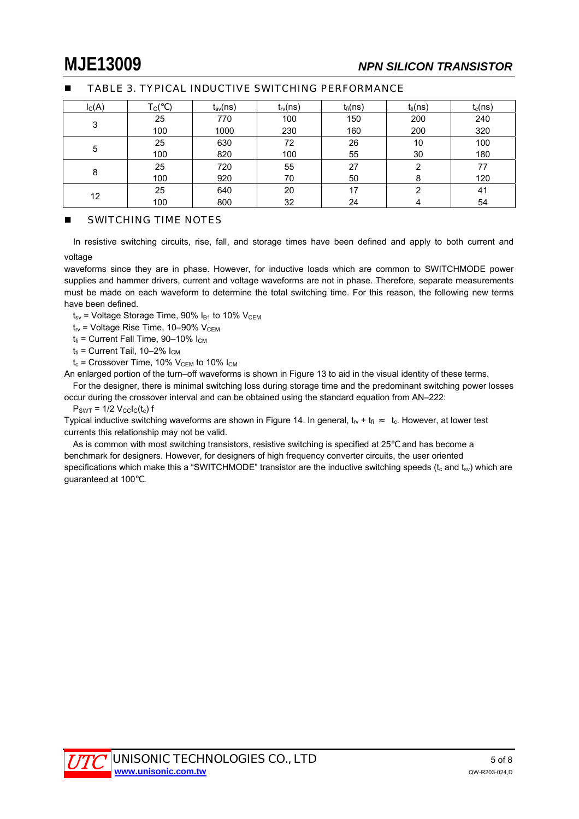| $I_{C}(A)$ | c(  | $t_{sv}(ns)$ | $t_{rv}(ns)$ | $t_{fi}(ns)$ | $t_{ti}(ns)$ | $t_c(ns)$ |
|------------|-----|--------------|--------------|--------------|--------------|-----------|
|            | 25  | 770          | 100          | 150          | 200          | 240       |
| 3          | 100 | 1000         | 230          | 160          | 200          | 320       |
|            | 25  | 630          | 72           | 26           | 10           | 100       |
| 5          | 100 | 820          | 100          | 55           | 30           | 180       |
|            | 25  | 720          | 55           | 27           | 2            | 77        |
| 8          | 100 | 920          | 70           | 50           | 8            | 120       |
| 12         | 25  | 640          | 20           | 17           | ◠            | 41        |
|            | 100 | 800          | 32           | 24           | 4            | 54        |

### TABLE 3. TYPICAL INDUCTIVE SWITCHING PERFORMANCE

### SWITCHING TIME NOTES

In resistive switching circuits, rise, fall, and storage times have been defined and apply to both current and voltage

waveforms since they are in phase. However, for inductive loads which are common to SWITCHMODE power supplies and hammer drivers, current and voltage waveforms are not in phase. Therefore, separate measurements must be made on each waveform to determine the total switching time. For this reason, the following new terms have been defined.

 $t_{sv}$  = Voltage Storage Time, 90%  $I_{B1}$  to 10%  $V_{CEM}$ 

 $t_{\text{rv}}$  = Voltage Rise Time, 10–90% V<sub>CEM</sub>

 $t<sub>fi</sub>$  = Current Fall Time, 90–10%  $I<sub>CM</sub>$ 

 $t_{ti}$  = Current Tail, 10–2%  $I_{CM}$ 

 $t_c$  = Crossover Time, 10%  $V_{CEM}$  to 10%  $I_{CM}$ 

An enlarged portion of the turn–off waveforms is shown in Figure 13 to aid in the visual identity of these terms. For the designer, there is minimal switching loss during storage time and the predominant switching power losses

occur during the crossover interval and can be obtained using the standard equation from AN–222:

 $P_{SWT}$  = 1/2  $V_{CC}I_C(t_c)$  f

Typical inductive switching waveforms are shown in Figure 14. In general,  $t_V + t_{fi}$   $t_c$ . However, at lower test currents this relationship may not be valid.

As is common with most switching transistors, resistive switching is specified at 25 and has become a benchmark for designers. However, for designers of high frequency converter circuits, the user oriented specifications which make this a "SWITCHMODE" transistor are the inductive switching speeds ( $t_c$  and  $t_{sv}$ ) which are guaranteed at 100 .

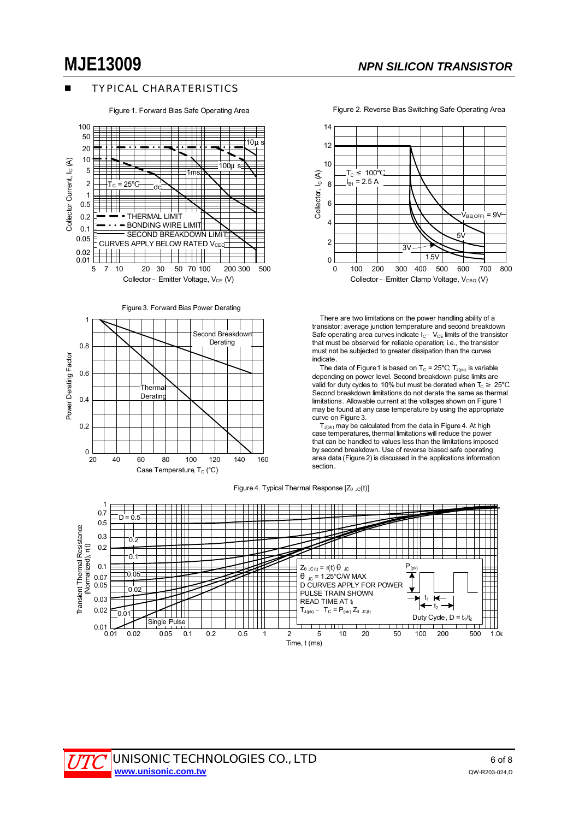### TYPICAL CHARATERISTICS

Figure 1. Forward Bias Safe Operating Area



Figure 3. Forward Bias Power Derating





 There are two limitations on the power handling ability of a transistor: average junction temperature and second breakdown. Safe operating area curves indicate  $I_{C^-}$  V<sub>CE</sub> limits of the transistor that must be observed for reliable operation; i.e., the transistor must not be subjected to greater dissipation than the curves indicate.

The data of Figure 1 is based on  $T_c = 25$ ;  $T_{J(pk)}$  is variable depending on power level. Second breakdown pulse limits are valid for duty cycles to 10% but must be derated when  $T_c$  25 Second breakdown limitations do not derate the same as thermal limitations. Allowable current at the voltages shown on Figure 1 may be found at any case temperature by using the appropriate curve on Figure 3.

 $T_{J(pk)}$  may be calculated from the data in Figure 4. At high case temperatures, thermal limitations will reduce the power that can be handled to values less than the limitations imposed by second breakdown. Use of reverse biased safe operating area data (Figure 2) is discussed in the applications information section.

Figure 4. Typical Thermal Response  $[Z_{\text{JC}}(t)]$ 



Figure 2. Reverse Bias Switching Safe Operating Area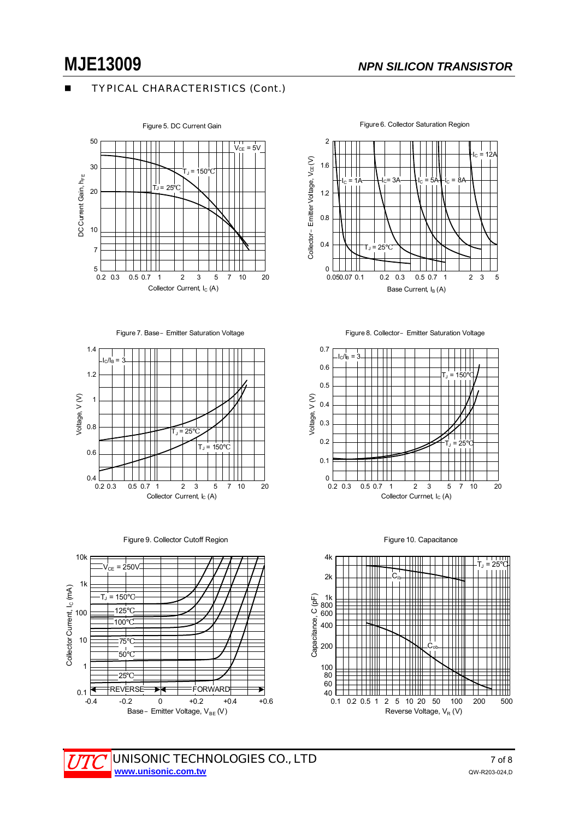### TYPICAL CHARACTERISTICS (Cont.)



Figure 7. Base–Emitter Saturation Voltage









Figure 6. Collector Saturation Region



Figure 8. Collector–Emitter Saturation Voltage



Figure 10. Capacitance